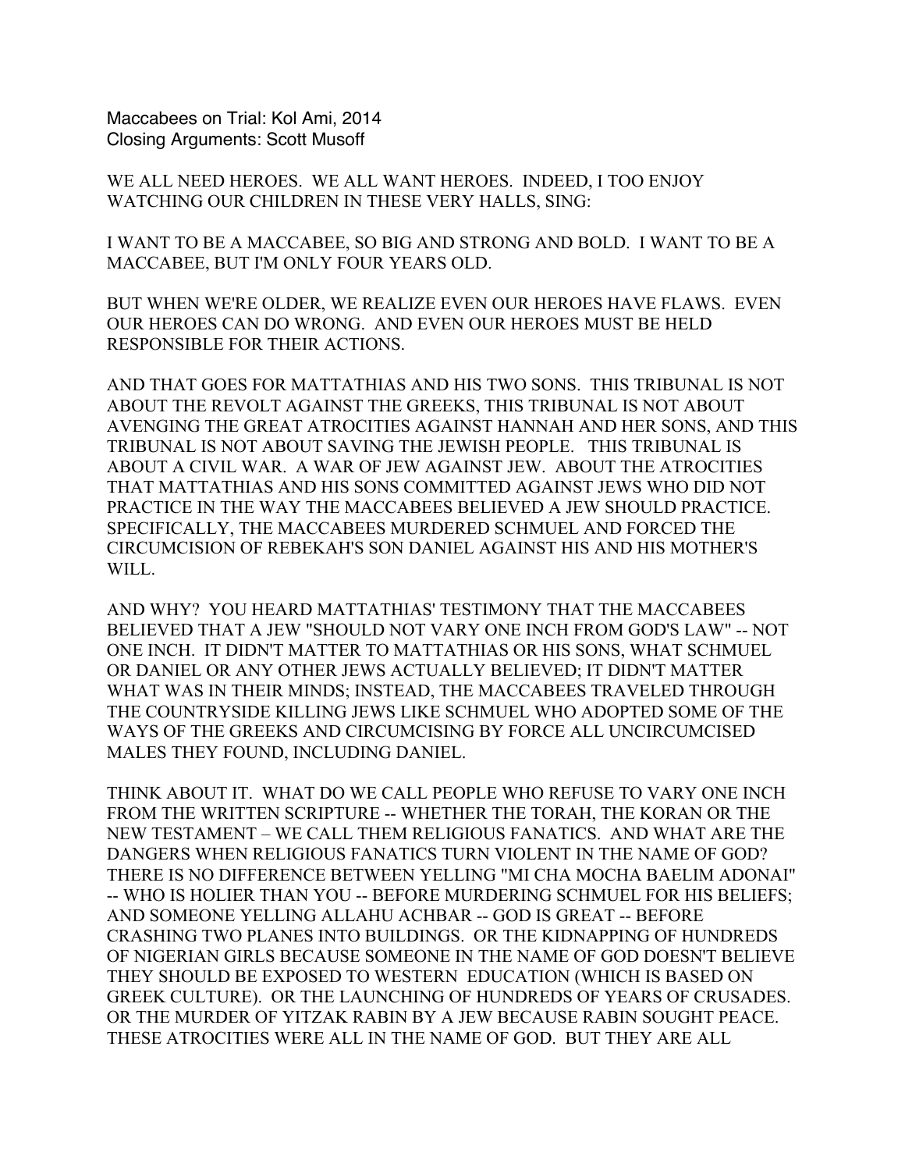Maccabees on Trial: Kol Ami, 2014 Closing Arguments: Scott Musoff

WE ALL NEED HEROES. WE ALL WANT HEROES. INDEED, I TOO ENJOY WATCHING OUR CHILDREN IN THESE VERY HALLS, SING:

I WANT TO BE A MACCABEE, SO BIG AND STRONG AND BOLD. I WANT TO BE A MACCABEE, BUT I'M ONLY FOUR YEARS OLD.

BUT WHEN WE'RE OLDER, WE REALIZE EVEN OUR HEROES HAVE FLAWS. EVEN OUR HEROES CAN DO WRONG. AND EVEN OUR HEROES MUST BE HELD RESPONSIBLE FOR THEIR ACTIONS.

AND THAT GOES FOR MATTATHIAS AND HIS TWO SONS. THIS TRIBUNAL IS NOT ABOUT THE REVOLT AGAINST THE GREEKS, THIS TRIBUNAL IS NOT ABOUT AVENGING THE GREAT ATROCITIES AGAINST HANNAH AND HER SONS, AND THIS TRIBUNAL IS NOT ABOUT SAVING THE JEWISH PEOPLE. THIS TRIBUNAL IS ABOUT A CIVIL WAR. A WAR OF JEW AGAINST JEW. ABOUT THE ATROCITIES THAT MATTATHIAS AND HIS SONS COMMITTED AGAINST JEWS WHO DID NOT PRACTICE IN THE WAY THE MACCABEES BELIEVED A JEW SHOULD PRACTICE. SPECIFICALLY, THE MACCABEES MURDERED SCHMUEL AND FORCED THE CIRCUMCISION OF REBEKAH'S SON DANIEL AGAINST HIS AND HIS MOTHER'S WILL.

AND WHY? YOU HEARD MATTATHIAS' TESTIMONY THAT THE MACCABEES BELIEVED THAT A JEW "SHOULD NOT VARY ONE INCH FROM GOD'S LAW" -- NOT ONE INCH. IT DIDN'T MATTER TO MATTATHIAS OR HIS SONS, WHAT SCHMUEL OR DANIEL OR ANY OTHER JEWS ACTUALLY BELIEVED; IT DIDN'T MATTER WHAT WAS IN THEIR MINDS; INSTEAD, THE MACCABEES TRAVELED THROUGH THE COUNTRYSIDE KILLING JEWS LIKE SCHMUEL WHO ADOPTED SOME OF THE WAYS OF THE GREEKS AND CIRCUMCISING BY FORCE ALL UNCIRCUMCISED MALES THEY FOUND, INCLUDING DANIEL.

THINK ABOUT IT. WHAT DO WE CALL PEOPLE WHO REFUSE TO VARY ONE INCH FROM THE WRITTEN SCRIPTURE -- WHETHER THE TORAH, THE KORAN OR THE NEW TESTAMENT – WE CALL THEM RELIGIOUS FANATICS. AND WHAT ARE THE DANGERS WHEN RELIGIOUS FANATICS TURN VIOLENT IN THE NAME OF GOD? THERE IS NO DIFFERENCE BETWEEN YELLING "MI CHA MOCHA BAELIM ADONAI" -- WHO IS HOLIER THAN YOU -- BEFORE MURDERING SCHMUEL FOR HIS BELIEFS; AND SOMEONE YELLING ALLAHU ACHBAR -- GOD IS GREAT -- BEFORE CRASHING TWO PLANES INTO BUILDINGS. OR THE KIDNAPPING OF HUNDREDS OF NIGERIAN GIRLS BECAUSE SOMEONE IN THE NAME OF GOD DOESN'T BELIEVE THEY SHOULD BE EXPOSED TO WESTERN EDUCATION (WHICH IS BASED ON GREEK CULTURE). OR THE LAUNCHING OF HUNDREDS OF YEARS OF CRUSADES. OR THE MURDER OF YITZAK RABIN BY A JEW BECAUSE RABIN SOUGHT PEACE. THESE ATROCITIES WERE ALL IN THE NAME OF GOD. BUT THEY ARE ALL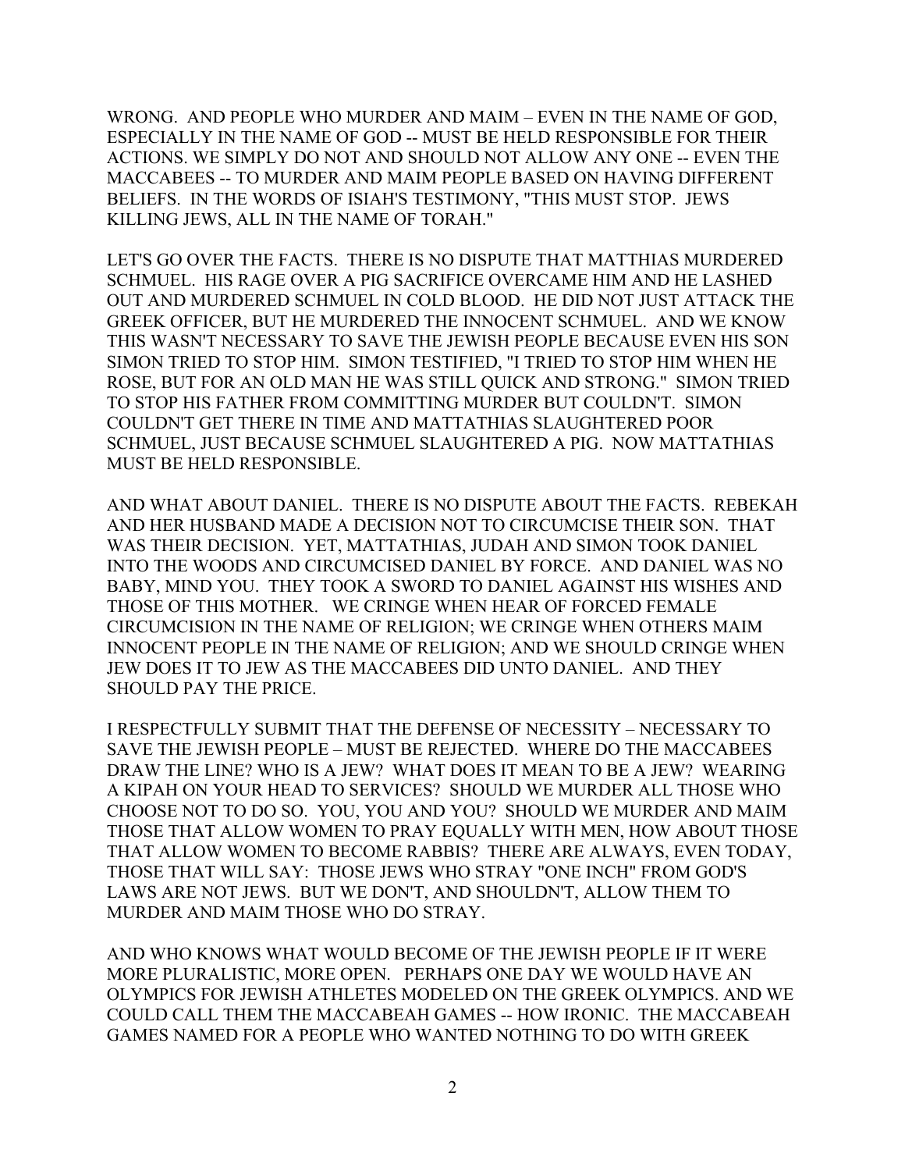WRONG. AND PEOPLE WHO MURDER AND MAIM – EVEN IN THE NAME OF GOD, ESPECIALLY IN THE NAME OF GOD -- MUST BE HELD RESPONSIBLE FOR THEIR ACTIONS. WE SIMPLY DO NOT AND SHOULD NOT ALLOW ANY ONE -- EVEN THE MACCABEES -- TO MURDER AND MAIM PEOPLE BASED ON HAVING DIFFERENT BELIEFS. IN THE WORDS OF ISIAH'S TESTIMONY, "THIS MUST STOP. JEWS KILLING JEWS, ALL IN THE NAME OF TORAH."

LET'S GO OVER THE FACTS. THERE IS NO DISPUTE THAT MATTHIAS MURDERED SCHMUEL. HIS RAGE OVER A PIG SACRIFICE OVERCAME HIM AND HE LASHED OUT AND MURDERED SCHMUEL IN COLD BLOOD. HE DID NOT JUST ATTACK THE GREEK OFFICER, BUT HE MURDERED THE INNOCENT SCHMUEL. AND WE KNOW THIS WASN'T NECESSARY TO SAVE THE JEWISH PEOPLE BECAUSE EVEN HIS SON SIMON TRIED TO STOP HIM. SIMON TESTIFIED, "I TRIED TO STOP HIM WHEN HE ROSE, BUT FOR AN OLD MAN HE WAS STILL QUICK AND STRONG." SIMON TRIED TO STOP HIS FATHER FROM COMMITTING MURDER BUT COULDN'T. SIMON COULDN'T GET THERE IN TIME AND MATTATHIAS SLAUGHTERED POOR SCHMUEL, JUST BECAUSE SCHMUEL SLAUGHTERED A PIG. NOW MATTATHIAS MUST BE HELD RESPONSIBLE.

AND WHAT ABOUT DANIEL. THERE IS NO DISPUTE ABOUT THE FACTS. REBEKAH AND HER HUSBAND MADE A DECISION NOT TO CIRCUMCISE THEIR SON. THAT WAS THEIR DECISION. YET, MATTATHIAS, JUDAH AND SIMON TOOK DANIEL INTO THE WOODS AND CIRCUMCISED DANIEL BY FORCE. AND DANIEL WAS NO BABY, MIND YOU. THEY TOOK A SWORD TO DANIEL AGAINST HIS WISHES AND THOSE OF THIS MOTHER. WE CRINGE WHEN HEAR OF FORCED FEMALE CIRCUMCISION IN THE NAME OF RELIGION; WE CRINGE WHEN OTHERS MAIM INNOCENT PEOPLE IN THE NAME OF RELIGION; AND WE SHOULD CRINGE WHEN JEW DOES IT TO JEW AS THE MACCABEES DID UNTO DANIEL. AND THEY SHOULD PAY THE PRICE.

I RESPECTFULLY SUBMIT THAT THE DEFENSE OF NECESSITY – NECESSARY TO SAVE THE JEWISH PEOPLE – MUST BE REJECTED. WHERE DO THE MACCABEES DRAW THE LINE? WHO IS A JEW? WHAT DOES IT MEAN TO BE A JEW? WEARING A KIPAH ON YOUR HEAD TO SERVICES? SHOULD WE MURDER ALL THOSE WHO CHOOSE NOT TO DO SO. YOU, YOU AND YOU? SHOULD WE MURDER AND MAIM THOSE THAT ALLOW WOMEN TO PRAY EQUALLY WITH MEN, HOW ABOUT THOSE THAT ALLOW WOMEN TO BECOME RABBIS? THERE ARE ALWAYS, EVEN TODAY, THOSE THAT WILL SAY: THOSE JEWS WHO STRAY "ONE INCH" FROM GOD'S LAWS ARE NOT JEWS. BUT WE DON'T, AND SHOULDN'T, ALLOW THEM TO MURDER AND MAIM THOSE WHO DO STRAY.

AND WHO KNOWS WHAT WOULD BECOME OF THE JEWISH PEOPLE IF IT WERE MORE PLURALISTIC, MORE OPEN. PERHAPS ONE DAY WE WOULD HAVE AN OLYMPICS FOR JEWISH ATHLETES MODELED ON THE GREEK OLYMPICS. AND WE COULD CALL THEM THE MACCABEAH GAMES -- HOW IRONIC. THE MACCABEAH GAMES NAMED FOR A PEOPLE WHO WANTED NOTHING TO DO WITH GREEK